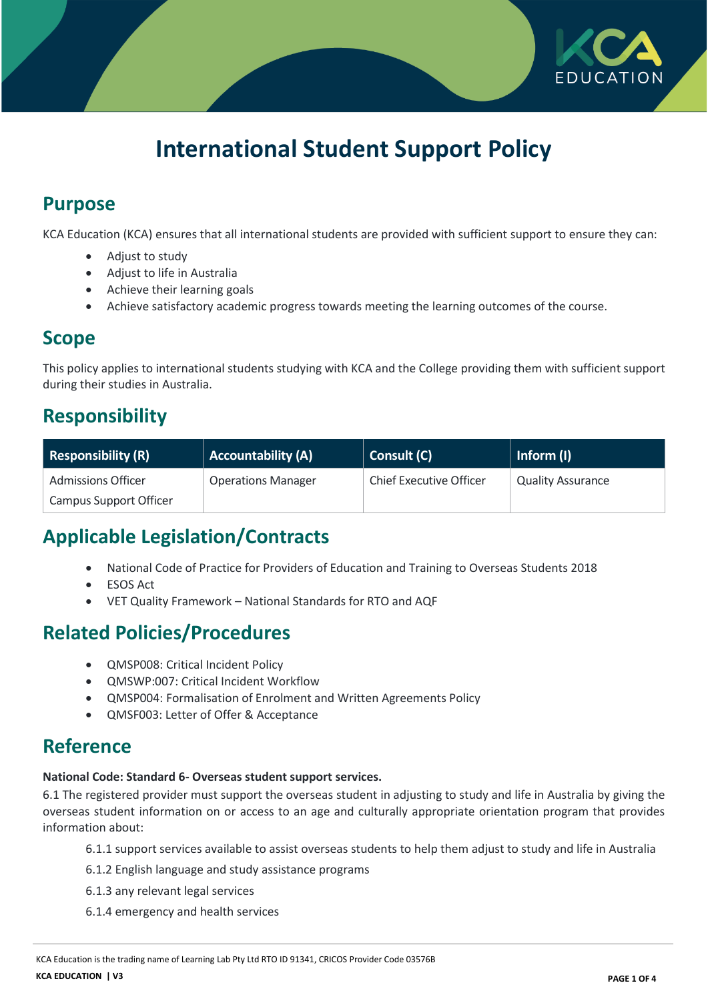

# **International Student Support Policy**

### **Purpose**

KCA Education (KCA) ensures that all international students are provided with sufficient support to ensure they can:

- Adjust to study
- Adjust to life in Australia
- Achieve their learning goals
- Achieve satisfactory academic progress towards meeting the learning outcomes of the course.

### **Scope**

This policy applies to international students studying with KCA and the College providing them with sufficient support during their studies in Australia.

### **Responsibility**

| <b>Responsibility (R)</b> | <b>Accountability (A)</b> | Consult (C)                    | Inform (I)               |
|---------------------------|---------------------------|--------------------------------|--------------------------|
| <b>Admissions Officer</b> | <b>Operations Manager</b> | <b>Chief Executive Officer</b> | <b>Quality Assurance</b> |
| Campus Support Officer    |                           |                                |                          |

## **Applicable Legislation/Contracts**

- National Code of Practice for Providers of Education and Training to Overseas Students 2018
- ESOS Act
- VET Quality Framework National Standards for RTO and AQF

### **Related Policies/Procedures**

- QMSP008: Critical Incident Policy
- QMSWP:007: Critical Incident Workflow
- QMSP004: Formalisation of Enrolment and Written Agreements Policy
- QMSF003: Letter of Offer & Acceptance

#### **Reference**

#### **National Code: Standard 6- Overseas student support services.**

6.1 The registered provider must support the overseas student in adjusting to study and life in Australia by giving the overseas student information on or access to an age and culturally appropriate orientation program that provides information about:

- 6.1.1 support services available to assist overseas students to help them adjust to study and life in Australia
- 6.1.2 English language and study assistance programs
- 6.1.3 any relevant legal services
- 6.1.4 emergency and health services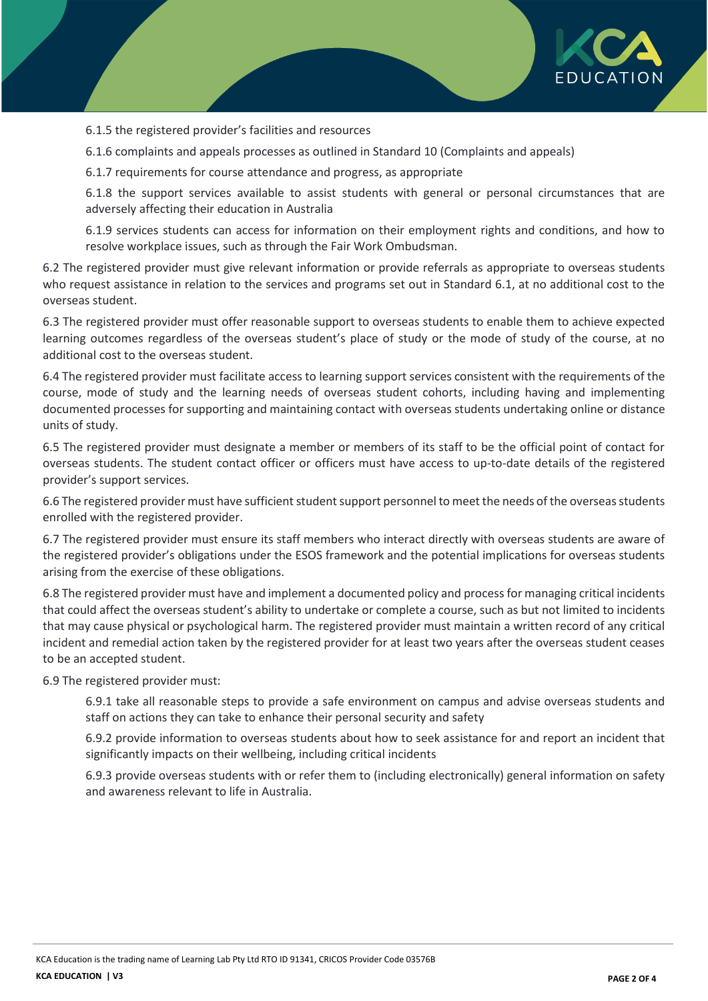

6.1.5 the registered provider's facilities and resources

6.1.6 complaints and appeals processes as outlined in Standard 10 (Complaints and appeals)

6.1.7 requirements for course attendance and progress, as appropriate

6.1.8 the support services available to assist students with general or personal circumstances that are adversely affecting their education in Australia

6.1.9 services students can access for information on their employment rights and conditions, and how to resolve workplace issues, such as through the Fair Work Ombudsman.

6.2 The registered provider must give relevant information or provide referrals as appropriate to overseas students who request assistance in relation to the services and programs set out in Standard 6.1, at no additional cost to the overseas student.

6.3 The registered provider must offer reasonable support to overseas students to enable them to achieve expected learning outcomes regardless of the overseas student's place of study or the mode of study of the course, at no additional cost to the overseas student.

6.4 The registered provider must facilitate access to learning support services consistent with the requirements of the course, mode of study and the learning needs of overseas student cohorts, including having and implementing documented processes for supporting and maintaining contact with overseas students undertaking online or distance units of study.

6.5 The registered provider must designate a member or members of its staff to be the official point of contact for overseas students. The student contact officer or officers must have access to up-to-date details of the registered provider's support services.

6.6 The registered provider must have sufficient student support personnel to meet the needs of the overseas students enrolled with the registered provider.

6.7 The registered provider must ensure its staff members who interact directly with overseas students are aware of the registered provider's obligations under the ESOS framework and the potential implications for overseas students arising from the exercise of these obligations.

6.8 The registered provider must have and implement a documented policy and process for managing critical incidents that could affect the overseas student's ability to undertake or complete a course, such as but not limited to incidents that may cause physical or psychological harm. The registered provider must maintain a written record of any critical incident and remedial action taken by the registered provider for at least two years after the overseas student ceases to be an accepted student.

6.9 The registered provider must:

6.9.1 take all reasonable steps to provide a safe environment on campus and advise overseas students and staff on actions they can take to enhance their personal security and safety

6.9.2 provide information to overseas students about how to seek assistance for and report an incident that significantly impacts on their wellbeing, including critical incidents

6.9.3 provide overseas students with or refer them to (including electronically) general information on safety and awareness relevant to life in Australia.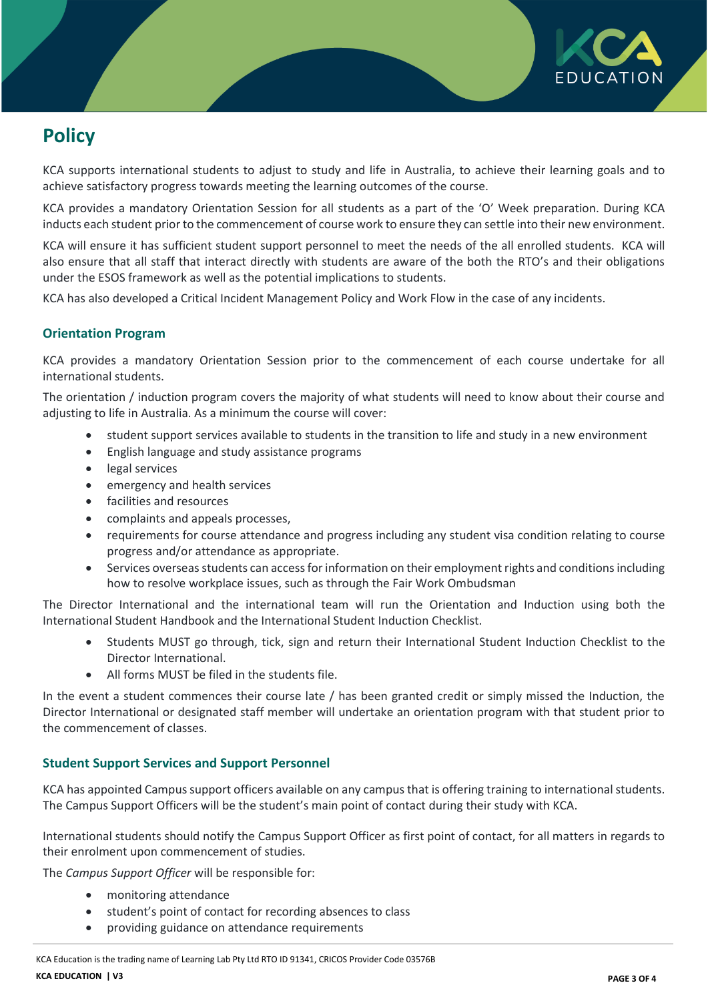

# **Policy**

KCA supports international students to adjust to study and life in Australia, to achieve their learning goals and to achieve satisfactory progress towards meeting the learning outcomes of the course.

KCA provides a mandatory Orientation Session for all students as a part of the 'O' Week preparation. During KCA inducts each student prior to the commencement of course work to ensure they can settle into their new environment.

KCA will ensure it has sufficient student support personnel to meet the needs of the all enrolled students. KCA will also ensure that all staff that interact directly with students are aware of the both the RTO's and their obligations under the ESOS framework as well as the potential implications to students.

KCA has also developed a Critical Incident Management Policy and Work Flow in the case of any incidents.

#### **Orientation Program**

KCA provides a mandatory Orientation Session prior to the commencement of each course undertake for all international students.

The orientation / induction program covers the majority of what students will need to know about their course and adjusting to life in Australia. As a minimum the course will cover:

- student support services available to students in the transition to life and study in a new environment
- English language and study assistance programs
- legal services
- emergency and health services
- facilities and resources
- complaints and appeals processes,
- requirements for course attendance and progress including any student visa condition relating to course progress and/or attendance as appropriate.
- Services overseas students can access for information on their employment rights and conditions including how to resolve workplace issues, such as through the Fair Work Ombudsman

The Director International and the international team will run the Orientation and Induction using both the International Student Handbook and the International Student Induction Checklist.

- Students MUST go through, tick, sign and return their International Student Induction Checklist to the Director International.
- All forms MUST be filed in the students file.

In the event a student commences their course late / has been granted credit or simply missed the Induction, the Director International or designated staff member will undertake an orientation program with that student prior to the commencement of classes.

#### **Student Support Services and Support Personnel**

KCA has appointed Campus support officers available on any campus that is offering training to international students. The Campus Support Officers will be the student's main point of contact during their study with KCA.

International students should notify the Campus Support Officer as first point of contact, for all matters in regards to their enrolment upon commencement of studies.

The *Campus Support Officer* will be responsible for:

- monitoring attendance
- student's point of contact for recording absences to class
- providing guidance on attendance requirements